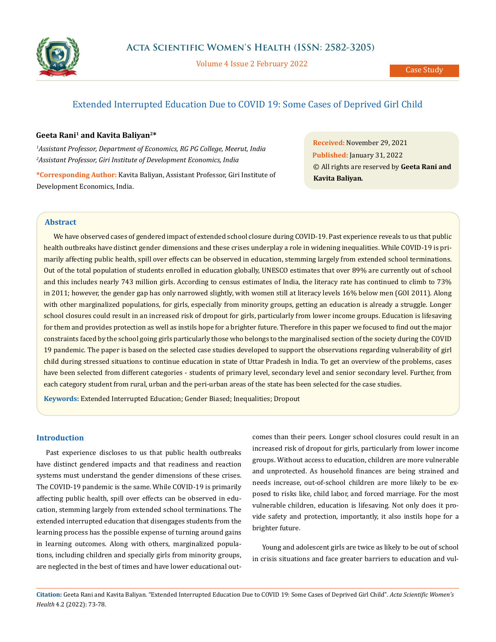

Volume 4 Issue 2 February 2022

# Extended Interrupted Education Due to COVID 19: Some Cases of Deprived Girl Child

# **Geeta Rani1 and Kavita Baliyan2\***

*1 Assistant Professor, Department of Economics, RG PG College, Meerut, India 2 Assistant Professor, Giri Institute of Development Economics, India*

**\*Corresponding Author:** Kavita Baliyan, Assistant Professor, Giri Institute of Development Economics, India.

**Received:** November 29, 2021 **Published:** January 31, 2022 © All rights are reserved by **Geeta Rani and Kavita Baliyan***.*

## **Abstract**

We have observed cases of gendered impact of extended school closure during COVID-19. Past experience reveals to us that public health outbreaks have distinct gender dimensions and these crises underplay a role in widening inequalities. While COVID-19 is primarily affecting public health, spill over effects can be observed in education, stemming largely from extended school terminations. Out of the total population of students enrolled in education globally, UNESCO estimates that over 89% are currently out of school and this includes nearly 743 million girls. According to census estimates of India, the literacy rate has continued to climb to 73% in 2011; however, the gender gap has only narrowed slightly, with women still at literacy levels 16% below men (GOI 2011). Along with other marginalized populations, for girls, especially from minority groups, getting an education is already a struggle. Longer school closures could result in an increased risk of dropout for girls, particularly from lower income groups. Education is lifesaving for them and provides protection as well as instils hope for a brighter future. Therefore in this paper we focused to find out the major constraints faced by the school going girls particularly those who belongs to the marginalised section of the society during the COVID 19 pandemic. The paper is based on the selected case studies developed to support the observations regarding vulnerability of girl child during stressed situations to continue education in state of Uttar Pradesh in India. To get an overview of the problems, cases have been selected from different categories - students of primary level, secondary level and senior secondary level. Further, from each category student from rural, urban and the peri-urban areas of the state has been selected for the case studies.

**Keywords:** Extended Interrupted Education; Gender Biased; Inequalities; Dropout

## **Introduction**

Past experience discloses to us that public health outbreaks have distinct gendered impacts and that readiness and reaction systems must understand the gender dimensions of these crises. The COVID-19 pandemic is the same. While COVID-19 is primarily affecting public health, spill over effects can be observed in education, stemming largely from extended school terminations. The extended interrupted education that disengages students from the learning process has the possible expense of turning around gains in learning outcomes. Along with others, marginalized populations, including children and specially girls from minority groups, are neglected in the best of times and have lower educational outcomes than their peers. Longer school closures could result in an increased risk of dropout for girls, particularly from lower income groups. Without access to education, children are more vulnerable and unprotected. As household finances are being strained and needs increase, out-of-school children are more likely to be exposed to risks like, child labor, and forced marriage. For the most vulnerable children, education is lifesaving. Not only does it provide safety and protection, importantly, it also instils hope for a brighter future.

Young and adolescent girls are twice as likely to be out of school in crisis situations and face greater barriers to education and vul-

**Citation:** Geeta Rani and Kavita Baliyan*.* "Extended Interrupted Education Due to COVID 19: Some Cases of Deprived Girl Child". *Acta Scientific Women's Health* 4.2 (2022): 73-78.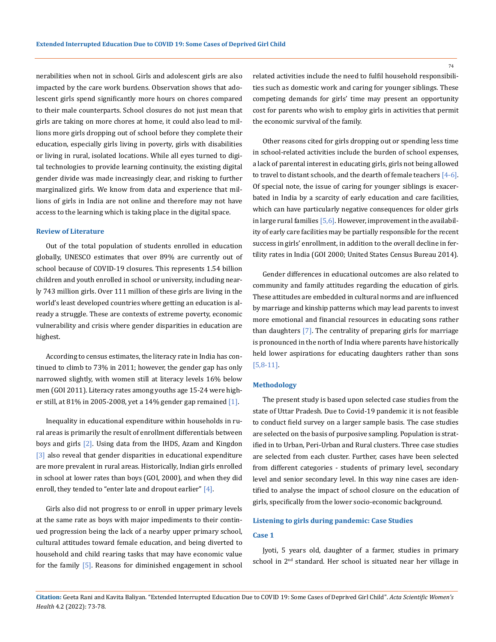nerabilities when not in school. Girls and adolescent girls are also impacted by the care work burdens. Observation shows that adolescent girls spend significantly more hours on chores compared to their male counterparts. School closures do not just mean that girls are taking on more chores at home, it could also lead to millions more girls dropping out of school before they complete their education, especially girls living in poverty, girls with disabilities or living in rural, isolated locations. While all eyes turned to digital technologies to provide learning continuity, the existing digital gender divide was made increasingly clear, and risking to further marginalized girls. We know from data and experience that millions of girls in India are not online and therefore may not have access to the learning which is taking place in the digital space.

### **Review of Literature**

Out of the total population of students enrolled in education globally, UNESCO estimates that over 89% are currently out of school because of COVID-19 closures. This represents 1.54 billion children and youth enrolled in school or university, including nearly 743 million girls. Over 111 million of these girls are living in the world's least developed countries where getting an education is already a struggle. These are contexts of extreme poverty, economic vulnerability and crisis where gender disparities in education are highest.

According to census estimates, the literacy rate in India has continued to climb to 73% in 2011; however, the gender gap has only narrowed slightly, with women still at literacy levels 16% below men (GOI 2011). Literacy rates among youths age 15-24 were higher still, at 81% in 2005-2008, yet a 14% gender gap remained  $[1]$ .

Inequality in educational expenditure within households in rural areas is primarily the result of enrollment differentials between boys and girls [2]. Using data from the IHDS, Azam and Kingdon [3] also reveal that gender disparities in educational expenditure are more prevalent in rural areas. Historically, Indian girls enrolled in school at lower rates than boys (GOI, 2000), and when they did enroll, they tended to "enter late and dropout earlier"  $[4]$ .

Girls also did not progress to or enroll in upper primary levels at the same rate as boys with major impediments to their continued progression being the lack of a nearby upper primary school, cultural attitudes toward female education, and being diverted to household and child rearing tasks that may have economic value for the family [5]. Reasons for diminished engagement in school related activities include the need to fulfil household responsibilities such as domestic work and caring for younger siblings. These competing demands for girls' time may present an opportunity cost for parents who wish to employ girls in activities that permit the economic survival of the family.

Other reasons cited for girls dropping out or spending less time in school-related activities include the burden of school expenses, a lack of parental interest in educating girls, girls not being allowed to travel to distant schools, and the dearth of female teachers [4-6]. Of special note, the issue of caring for younger siblings is exacerbated in India by a scarcity of early education and care facilities, which can have particularly negative consequences for older girls in large rural families  $[5,6]$ . However, improvement in the availability of early care facilities may be partially responsible for the recent success in girls' enrollment, in addition to the overall decline in fertility rates in India (GOI 2000; United States Census Bureau 2014).

Gender differences in educational outcomes are also related to community and family attitudes regarding the education of girls. These attitudes are embedded in cultural norms and are influenced by marriage and kinship patterns which may lead parents to invest more emotional and financial resources in educating sons rather than daughters [7]. The centrality of preparing girls for marriage is pronounced in the north of India where parents have historically held lower aspirations for educating daughters rather than sons [5,8-11].

#### **Methodology**

The present study is based upon selected case studies from the state of Uttar Pradesh. Due to Covid-19 pandemic it is not feasible to conduct field survey on a larger sample basis. The case studies are selected on the basis of purposive sampling. Population is stratified in to Urban, Peri-Urban and Rural clusters. Three case studies are selected from each cluster. Further, cases have been selected from different categories - students of primary level, secondary level and senior secondary level. In this way nine cases are identified to analyse the impact of school closure on the education of girls, specifically from the lower socio-economic background.

# **Listening to girls during pandemic: Case Studies**

# **Case 1**

Jyoti, 5 years old, daughter of a farmer, studies in primary school in 2<sup>nd</sup> standard. Her school is situated near her village in

**Citation:** Geeta Rani and Kavita Baliyan*.* "Extended Interrupted Education Due to COVID 19: Some Cases of Deprived Girl Child". *Acta Scientific Women's Health* 4.2 (2022): 73-78.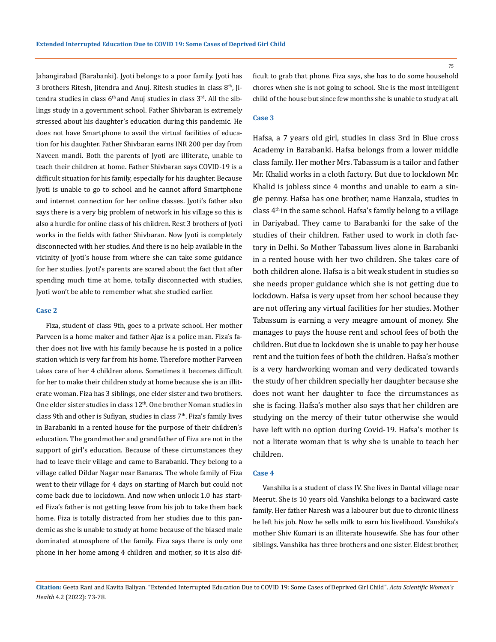Jahangirabad (Barabanki). Jyoti belongs to a poor family. Jyoti has 3 brothers Ritesh, Jitendra and Anuj. Ritesh studies in class  $8<sup>th</sup>$ , Jitendra studies in class  $6<sup>th</sup>$  and Anuj studies in class  $3<sup>rd</sup>$ . All the siblings study in a government school. Father Shivbaran is extremely stressed about his daughter's education during this pandemic. He does not have Smartphone to avail the virtual facilities of education for his daughter. Father Shivbaran earns INR 200 per day from Naveen mandi. Both the parents of Jyoti are illiterate, unable to teach their children at home. Father Shivbaran says COVID-19 is a difficult situation for his family, especially for his daughter. Because Jyoti is unable to go to school and he cannot afford Smartphone and internet connection for her online classes. Jyoti's father also says there is a very big problem of network in his village so this is also a hurdle for online class of his children. Rest 3 brothers of Jyoti works in the fields with father Shivbaran. Now Jyoti is completely disconnected with her studies. And there is no help available in the vicinity of Jyoti's house from where she can take some guidance for her studies. Jyoti's parents are scared about the fact that after spending much time at home, totally disconnected with studies, Jyoti won't be able to remember what she studied earlier.

## **Case 2**

Fiza, student of class 9th, goes to a private school. Her mother Parveen is a home maker and father Ajaz is a police man. Fiza's father does not live with his family because he is posted in a police station which is very far from his home. Therefore mother Parveen takes care of her 4 children alone. Sometimes it becomes difficult for her to make their children study at home because she is an illiterate woman. Fiza has 3 siblings, one elder sister and two brothers. One elder sister studies in class 12<sup>th</sup>. One brother Noman studies in class 9th and other is Sufiyan, studies in class  $7<sup>th</sup>$ . Fiza's family lives in Barabanki in a rented house for the purpose of their children's education. The grandmother and grandfather of Fiza are not in the support of girl's education. Because of these circumstances they had to leave their village and came to Barabanki. They belong to a village called Dildar Nagar near Banaras. The whole family of Fiza went to their village for 4 days on starting of March but could not come back due to lockdown. And now when unlock 1.0 has started Fiza's father is not getting leave from his job to take them back home. Fiza is totally distracted from her studies due to this pandemic as she is unable to study at home because of the biased male dominated atmosphere of the family. Fiza says there is only one phone in her home among 4 children and mother, so it is also difficult to grab that phone. Fiza says, she has to do some household chores when she is not going to school. She is the most intelligent child of the house but since few months she is unable to study at all.

#### **Case 3**

Hafsa, a 7 years old girl, studies in class 3rd in Blue cross Academy in Barabanki. Hafsa belongs from a lower middle class family. Her mother Mrs. Tabassum is a tailor and father Mr. Khalid works in a cloth factory. But due to lockdown Mr. Khalid is jobless since 4 months and unable to earn a single penny. Hafsa has one brother, name Hanzala, studies in class  $4<sup>th</sup>$  in the same school. Hafsa's family belong to a village in Dariyabad. They came to Barabanki for the sake of the studies of their children. Father used to work in cloth factory in Delhi. So Mother Tabassum lives alone in Barabanki in a rented house with her two children. She takes care of both children alone. Hafsa is a bit weak student in studies so she needs proper guidance which she is not getting due to lockdown. Hafsa is very upset from her school because they are not offering any virtual facilities for her studies. Mother Tabassum is earning a very meagre amount of money. She manages to pays the house rent and school fees of both the children. But due to lockdown she is unable to pay her house rent and the tuition fees of both the children. Hafsa's mother is a very hardworking woman and very dedicated towards the study of her children specially her daughter because she does not want her daughter to face the circumstances as she is facing. Hafsa's mother also says that her children are studying on the mercy of their tutor otherwise she would have left with no option during Covid-19. Hafsa's mother is not a literate woman that is why she is unable to teach her children.

## **Case 4**

Vanshika is a student of class IV. She lives in Dantal village near Meerut. She is 10 years old. Vanshika belongs to a backward caste family. Her father Naresh was a labourer but due to chronic illness he left his job. Now he sells milk to earn his livelihood. Vanshika's mother Shiv Kumari is an illiterate housewife. She has four other siblings. Vanshika has three brothers and one sister. Eldest brother,

**Citation:** Geeta Rani and Kavita Baliyan*.* "Extended Interrupted Education Due to COVID 19: Some Cases of Deprived Girl Child". *Acta Scientific Women's Health* 4.2 (2022): 73-78.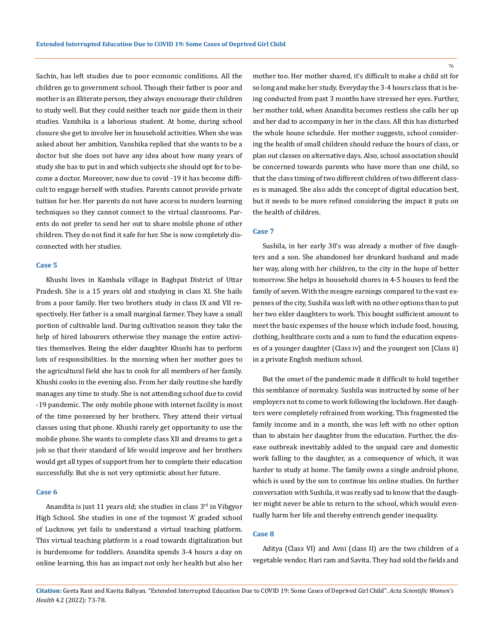Sachin, has left studies due to poor economic conditions. All the children go to government school. Though their father is poor and mother is an illiterate person, they always encourage their children to study well. But they could neither teach nor guide them in their studies. Vanshika is a laborious student. At home, during school closure she get to involve her in household activities. When she was asked about her ambition, Vanshika replied that she wants to be a doctor but she does not have any idea about how many years of study she has to put in and which subjects she should opt for to become a doctor. Moreover, now due to covid -19 it has become difficult to engage herself with studies. Parents cannot provide private tuition for her. Her parents do not have access to modern learning techniques so they cannot connect to the virtual classrooms. Parents do not prefer to send her out to share mobile phone of other children. They do not find it safe for her. She is now completely disconnected with her studies.

## **Case 5**

Khushi lives in Kambala village in Baghpat District of Uttar Pradesh. She is a 15 years old and studying in class XI. She hails from a poor family. Her two brothers study in class IX and VII respectively. Her father is a small marginal farmer. They have a small portion of cultivable land. During cultivation season they take the help of hired labourers otherwise they manage the entire activities themselves. Being the elder daughter Khushi has to perform lots of responsibilities. In the morning when her mother goes to the agricultural field she has to cook for all members of her family. Khushi cooks in the evening also. From her daily routine she hardly manages any time to study. She is not attending school due to covid -19 pandemic. The only mobile phone with internet facility is most of the time possessed by her brothers. They attend their virtual classes using that phone. Khushi rarely get opportunity to use the mobile phone. She wants to complete class XII and dreams to get a job so that their standard of life would improve and her brothers would get all types of support from her to complete their education successfully. But she is not very optimistic about her future.

#### **Case 6**

Anandita is just 11 years old; she studies in class  $3<sup>rd</sup>$  in Vibgyor High School. She studies in one of the topmost 'A' graded school of Lucknow, yet fails to understand a virtual teaching platform. This virtual teaching platform is a road towards digitalization but is burdensome for toddlers. Anandita spends 3-4 hours a day on online learning, this has an impact not only her health but also her mother too. Her mother shared, it's difficult to make a child sit for so long and make her study. Everyday the 3-4 hours class that is being conducted from past 3 months have stressed her eyes. Further, her mother told, when Anandita becomes restless she calls her up and her dad to accompany in her in the class. All this has disturbed the whole house schedule. Her mother suggests, school considering the health of small children should reduce the hours of class, or plan out classes on alternative days. Also, school association should be concerned towards parents who have more than one child, so that the class timing of two different children of two different classes is managed. She also adds the concept of digital education best, but it needs to be more refined considering the impact it puts on the health of children.

# **Case 7**

Sushila, in her early 30's was already a mother of five daughters and a son. She abandoned her drunkard husband and made her way, along with her children, to the city in the hope of better tomorrow. She helps in household chores in 4-5 houses to feed the family of seven. With the meagre earnings compared to the vast expenses of the city, Sushila was left with no other options than to put her two elder daughters to work. This bought sufficient amount to meet the basic expenses of the house which include food, housing, clothing, healthcare costs and a sum to fund the education expenses of a younger daughter (Class iv) and the youngest son (Class ii) in a private English medium school.

But the onset of the pandemic made it difficult to hold together this semblance of normalcy. Sushila was instructed by some of her employers not to come to work following the lockdown. Her daughters were completely refrained from working. This fragmented the family income and in a month, she was left with no other option than to abstain her daughter from the education. Further, the disease outbreak inevitably added to the unpaid care and domestic work falling to the daughter, as a consequence of which, it was harder to study at home. The family owns a single android phone, which is used by the son to continue his online studies. On further conversation with Sushila, it was really sad to know that the daughter might never be able to return to the school, which would eventually harm her life and thereby entrench gender inequality.

#### **Case 8**

Aditya (Class VI) and Avni (class II) are the two children of a vegetable vendor, Hari ram and Savita. They had sold the fields and

**Citation:** Geeta Rani and Kavita Baliyan*.* "Extended Interrupted Education Due to COVID 19: Some Cases of Deprived Girl Child". *Acta Scientific Women's Health* 4.2 (2022): 73-78.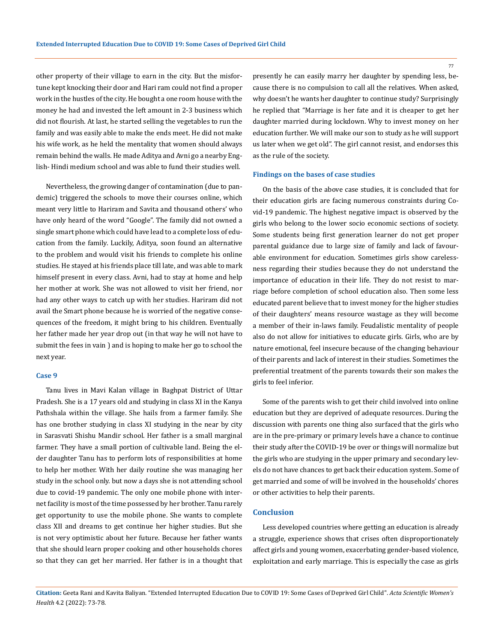other property of their village to earn in the city. But the misfortune kept knocking their door and Hari ram could not find a proper work in the hustles of the city. He bought a one room house with the money he had and invested the left amount in 2-3 business which did not flourish. At last, he started selling the vegetables to run the family and was easily able to make the ends meet. He did not make his wife work, as he held the mentality that women should always remain behind the walls. He made Aditya and Avni go a nearby English- Hindi medium school and was able to fund their studies well.

Nevertheless, the growing danger of contamination (due to pandemic) triggered the schools to move their courses online, which meant very little to Hariram and Savita and thousand others' who have only heard of the word "Google". The family did not owned a single smart phone which could have lead to a complete loss of education from the family. Luckily, Aditya, soon found an alternative to the problem and would visit his friends to complete his online studies. He stayed at his friends place till late, and was able to mark himself present in every class. Avni, had to stay at home and help her mother at work. She was not allowed to visit her friend, nor had any other ways to catch up with her studies. Hariram did not avail the Smart phone because he is worried of the negative consequences of the freedom, it might bring to his children. Eventually her father made her year drop out (in that way he will not have to submit the fees in vain ) and is hoping to make her go to school the next year.

#### **Case 9**

Tanu lives in Mavi Kalan village in Baghpat District of Uttar Pradesh. She is a 17 years old and studying in class XI in the Kanya Pathshala within the village. She hails from a farmer family. She has one brother studying in class XI studying in the near by city in Sarasvati Shishu Mandir school. Her father is a small marginal farmer. They have a small portion of cultivable land. Being the elder daughter Tanu has to perform lots of responsibilities at home to help her mother. With her daily routine she was managing her study in the school only. but now a days she is not attending school due to covid-19 pandemic. The only one mobile phone with internet facility is most of the time possessed by her brother. Tanu rarely get opportunity to use the mobile phone. She wants to complete class XII and dreams to get continue her higher studies. But she is not very optimistic about her future. Because her father wants that she should learn proper cooking and other households chores so that they can get her married. Her father is in a thought that presently he can easily marry her daughter by spending less, because there is no compulsion to call all the relatives. When asked, why doesn't he wants her daughter to continue study? Surprisingly he replied that "Marriage is her fate and it is cheaper to get her daughter married during lockdown. Why to invest money on her education further. We will make our son to study as he will support us later when we get old". The girl cannot resist, and endorses this as the rule of the society.

#### **Findings on the bases of case studies**

On the basis of the above case studies, it is concluded that for their education girls are facing numerous constraints during Covid-19 pandemic. The highest negative impact is observed by the girls who belong to the lower socio economic sections of society. Some students being first generation learner do not get proper parental guidance due to large size of family and lack of favourable environment for education. Sometimes girls show carelessness regarding their studies because they do not understand the importance of education in their life. They do not resist to marriage before completion of school education also. Then some less educated parent believe that to invest money for the higher studies of their daughters' means resource wastage as they will become a member of their in-laws family. Feudalistic mentality of people also do not allow for initiatives to educate girls. Girls, who are by nature emotional, feel insecure because of the changing behaviour of their parents and lack of interest in their studies. Sometimes the preferential treatment of the parents towards their son makes the girls to feel inferior.

Some of the parents wish to get their child involved into online education but they are deprived of adequate resources. During the discussion with parents one thing also surfaced that the girls who are in the pre-primary or primary levels have a chance to continue their study after the COVID-19 be over or things will normalize but the girls who are studying in the upper primary and secondary levels do not have chances to get back their education system. Some of get married and some of will be involved in the households' chores or other activities to help their parents.

# **Conclusion**

Less developed countries where getting an education is already a struggle, experience shows that crises often disproportionately affect girls and young women, exacerbating gender-based violence, exploitation and early marriage. This is especially the case as girls

**Citation:** Geeta Rani and Kavita Baliyan*.* "Extended Interrupted Education Due to COVID 19: Some Cases of Deprived Girl Child". *Acta Scientific Women's Health* 4.2 (2022): 73-78.